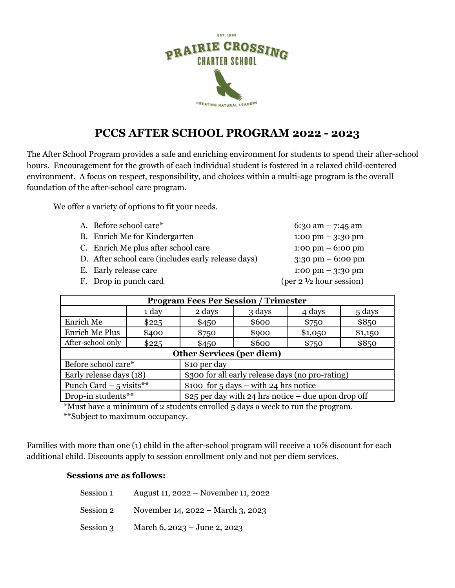

# **PCCS AFTER SCHOOL PROGRAM 2022 - 2023**

The After School Program provides a safe and enriching environment for students to spend their after-school hours. Encouragement for the growth of each individual student is fostered in a relaxed child-centered environment. A focus on respect, responsibility, and choices within a multi-age program is the overall foundation of the after-school care program.

We offer a variety of options to fit your needs.

| A. Before school care*                             | 6:30 am $-$ 7:45 am                                |
|----------------------------------------------------|----------------------------------------------------|
| B. Enrich Me for Kindergarten                      | $1:00 \text{ pm} - 3:30 \text{ pm}$                |
| C. Enrich Me plus after school care                | $1:00 \text{ pm} - 6:00 \text{ pm}$                |
| D. After school care (includes early release days) | $3:30 \text{ pm} - 6:00 \text{ pm}$                |
| E. Early release care                              | $1:00 \text{ pm} - 3:30 \text{ pm}$                |
| F. Drop in punch card                              | $(\text{per } 2 \frac{1}{2} \text{ hour session})$ |
|                                                    |                                                    |

| <b>Program Fees Per Session / Trimester</b> |       |                                                     |        |         |         |
|---------------------------------------------|-------|-----------------------------------------------------|--------|---------|---------|
|                                             | 1 day | 2 days                                              | 3 days | 4 days  | 5 days  |
| Enrich Me                                   | \$225 | \$450                                               | \$600  | \$750   | \$850   |
| <b>Enrich Me Plus</b>                       | \$400 | \$750                                               | \$900  | \$1,050 | \$1,150 |
| After-school only                           | \$225 | \$450                                               | \$600  | \$750   | \$850   |
| <b>Other Services (per diem)</b>            |       |                                                     |        |         |         |
| Before school care*                         |       | \$10 per day                                        |        |         |         |
| Early release days (18)                     |       | \$300 for all early release days (no pro-rating)    |        |         |         |
| Punch Card $-5$ visits**                    |       | \$100 for $5 \text{ days}$ – with 24 hrs notice     |        |         |         |
| Drop-in students**                          |       | \$25 per day with 24 hrs notice – due upon drop off |        |         |         |

\*Must have a minimum of 2 students enrolled 5 days a week to run the program. \*\*Subject to maximum occupancy.

Families with more than one (1) child in the after-school program will receive a 10% discount for each additional child. Discounts apply to session enrollment only and not per diem services.

#### **Sessions are as follows:**

| Session 1 | August 11, 2022 – November 11, 2022 |
|-----------|-------------------------------------|
| Session 2 | November 14, 2022 – March 3, 2023   |
| Session 3 | March 6, 2023 – June 2, 2023        |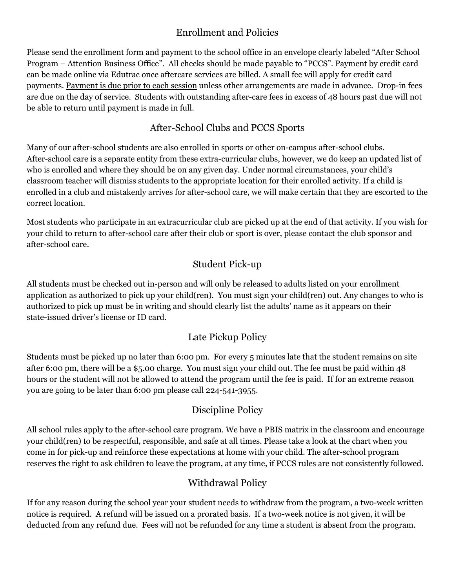#### Enrollment and Policies

Please send the enrollment form and payment to the school office in an envelope clearly labeled "After School Program – Attention Business Office". All checks should be made payable to "PCCS". Payment by credit card can be made online via Edutrac once aftercare services are billed. A small fee will apply for credit card payments. Payment is due prior to each session unless other arrangements are made in advance. Drop-in fees are due on the day of service. Students with outstanding after-care fees in excess of 48 hours past due will not be able to return until payment is made in full.

#### After-School Clubs and PCCS Sports

Many of our after-school students are also enrolled in sports or other on-campus after-school clubs. After-school care is a separate entity from these extra-curricular clubs, however, we do keep an updated list of who is enrolled and where they should be on any given day. Under normal circumstances, your child's classroom teacher will dismiss students to the appropriate location for their enrolled activity. If a child is enrolled in a club and mistakenly arrives for after-school care, we will make certain that they are escorted to the correct location.

Most students who participate in an extracurricular club are picked up at the end of that activity. If you wish for your child to return to after-school care after their club or sport is over, please contact the club sponsor and after-school care.

## Student Pick-up

All students must be checked out in-person and will only be released to adults listed on your enrollment application as authorized to pick up your child(ren). You must sign your child(ren) out. Any changes to who is authorized to pick up must be in writing and should clearly list the adults' name as it appears on their state-issued driver's license or ID card.

## Late Pickup Policy

Students must be picked up no later than 6:00 pm. For every 5 minutes late that the student remains on site after 6:00 pm, there will be a \$5.00 charge. You must sign your child out. The fee must be paid within 48 hours or the student will not be allowed to attend the program until the fee is paid. If for an extreme reason you are going to be later than 6:00 pm please call 224-541-3955.

## Discipline Policy

All school rules apply to the after-school care program. We have a PBIS matrix in the classroom and encourage your child(ren) to be respectful, responsible, and safe at all times. Please take a look at the chart when you come in for pick-up and reinforce these expectations at home with your child. The after-school program reserves the right to ask children to leave the program, at any time, if PCCS rules are not consistently followed.

## Withdrawal Policy

If for any reason during the school year your student needs to withdraw from the program, a two-week written notice is required. A refund will be issued on a prorated basis. If a two-week notice is not given, it will be deducted from any refund due. Fees will not be refunded for any time a student is absent from the program.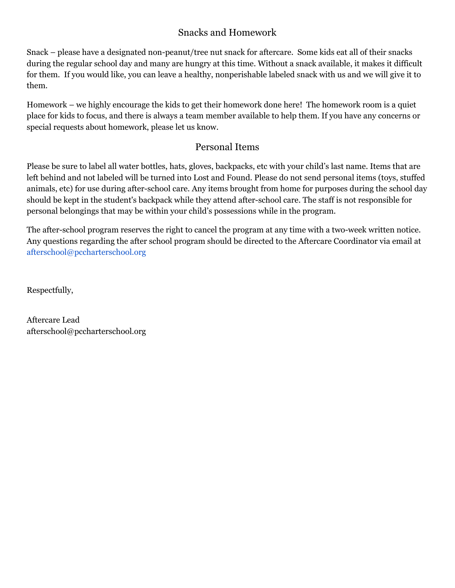#### Snacks and Homework

Snack – please have a designated non-peanut/tree nut snack for aftercare. Some kids eat all of their snacks during the regular school day and many are hungry at this time. Without a snack available, it makes it difficult for them. If you would like, you can leave a healthy, nonperishable labeled snack with us and we will give it to them.

Homework – we highly encourage the kids to get their homework done here! The homework room is a quiet place for kids to focus, and there is always a team member available to help them. If you have any concerns or special requests about homework, please let us know.

#### Personal Items

Please be sure to label all water bottles, hats, gloves, backpacks, etc with your child's last name. Items that are left behind and not labeled will be turned into Lost and Found. Please do not send personal items (toys, stuffed animals, etc) for use during after-school care. Any items brought from home for purposes during the school day should be kept in the student's backpack while they attend after-school care. The staff is not responsible for personal belongings that may be within your child's possessions while in the program.

The after-school program reserves the right to cancel the program at any time with a two-week written notice. Any questions regarding the after school program should be directed to the Aftercare Coordinator via email at afterschool@pccharterschool.org

Respectfully,

Aftercare Lead afterschool@pccharterschool.org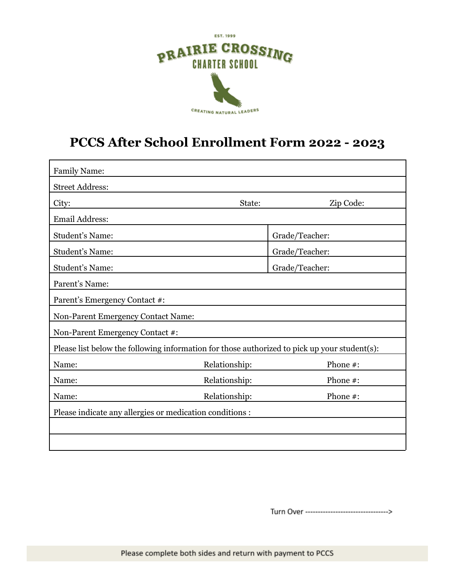

# **PCCS After School Enrollment Form 2022 - 2023**

| <b>Family Name:</b>                                                                          |               |                |  |  |
|----------------------------------------------------------------------------------------------|---------------|----------------|--|--|
| <b>Street Address:</b>                                                                       |               |                |  |  |
| City:                                                                                        | State:        | Zip Code:      |  |  |
| Email Address:                                                                               |               |                |  |  |
| <b>Student's Name:</b>                                                                       |               | Grade/Teacher: |  |  |
| <b>Student's Name:</b>                                                                       |               | Grade/Teacher: |  |  |
| <b>Student's Name:</b>                                                                       |               | Grade/Teacher: |  |  |
| Parent's Name:                                                                               |               |                |  |  |
| Parent's Emergency Contact #:                                                                |               |                |  |  |
| <b>Non-Parent Emergency Contact Name:</b>                                                    |               |                |  |  |
| Non-Parent Emergency Contact #:                                                              |               |                |  |  |
| Please list below the following information for those authorized to pick up your student(s): |               |                |  |  |
| Name:                                                                                        | Relationship: | Phone #:       |  |  |
| Name:                                                                                        | Relationship: | Phone #:       |  |  |
| Name:                                                                                        | Relationship: | Phone #:       |  |  |
| Please indicate any allergies or medication conditions :                                     |               |                |  |  |
|                                                                                              |               |                |  |  |
|                                                                                              |               |                |  |  |

Turn Over ----------------------------------->

Please complete both sides and return with payment to PCCS